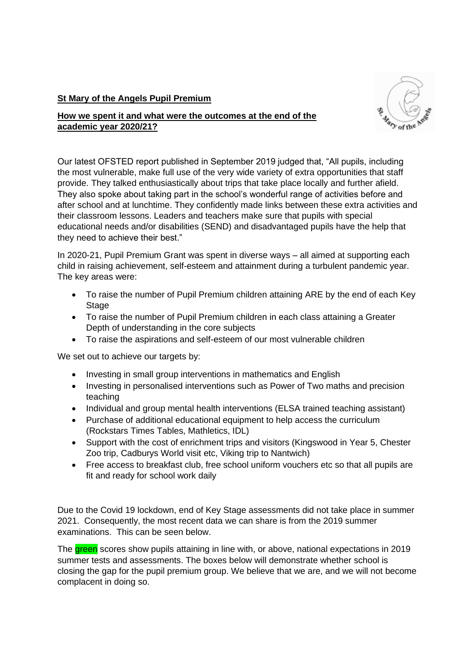## **St Mary of the Angels Pupil Premium**



## **How we spent it and what were the outcomes at the end of the academic year 2020/21?**

Our latest OFSTED report published in September 2019 judged that, "All pupils, including the most vulnerable, make full use of the very wide variety of extra opportunities that staff provide. They talked enthusiastically about trips that take place locally and further afield. They also spoke about taking part in the school's wonderful range of activities before and after school and at lunchtime. They confidently made links between these extra activities and their classroom lessons. Leaders and teachers make sure that pupils with special educational needs and/or disabilities (SEND) and disadvantaged pupils have the help that they need to achieve their best."

In 2020-21, Pupil Premium Grant was spent in diverse ways – all aimed at supporting each child in raising achievement, self-esteem and attainment during a turbulent pandemic year. The key areas were:

- To raise the number of Pupil Premium children attaining ARE by the end of each Key Stage
- To raise the number of Pupil Premium children in each class attaining a Greater Depth of understanding in the core subjects
- To raise the aspirations and self-esteem of our most vulnerable children

We set out to achieve our targets by:

- Investing in small group interventions in mathematics and English
- Investing in personalised interventions such as Power of Two maths and precision teaching
- Individual and group mental health interventions (ELSA trained teaching assistant)
- Purchase of additional educational equipment to help access the curriculum (Rockstars Times Tables, Mathletics, IDL)
- Support with the cost of enrichment trips and visitors (Kingswood in Year 5, Chester Zoo trip, Cadburys World visit etc, Viking trip to Nantwich)
- Free access to breakfast club, free school uniform vouchers etc so that all pupils are fit and ready for school work daily

Due to the Covid 19 lockdown, end of Key Stage assessments did not take place in summer 2021. Consequently, the most recent data we can share is from the 2019 summer examinations. This can be seen below.

The green scores show pupils attaining in line with, or above, national expectations in 2019 summer tests and assessments. The boxes below will demonstrate whether school is closing the gap for the pupil premium group. We believe that we are, and we will not become complacent in doing so.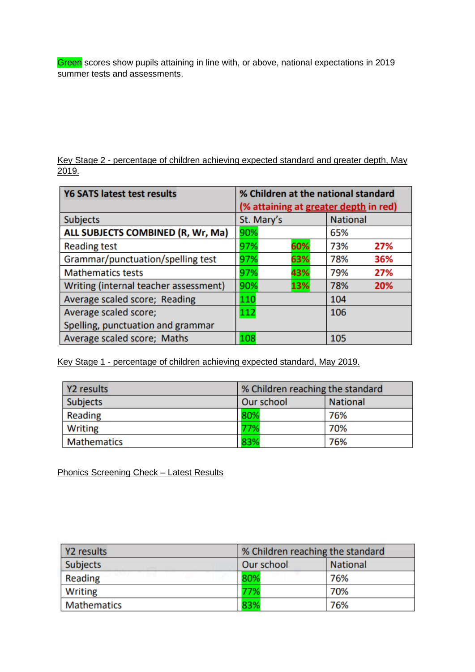Green scores show pupils attaining in line with, or above, national expectations in 2019 summer tests and assessments.

Key Stage 2 - percentage of children achieving expected standard and greater depth, May 2019.

| <b>Y6 SATS latest test results</b>    | % Children at the national standard<br>(% attaining at greater depth in red) |     |                 |     |  |
|---------------------------------------|------------------------------------------------------------------------------|-----|-----------------|-----|--|
| <b>Subjects</b>                       | St. Mary's                                                                   |     | <b>National</b> |     |  |
| ALL SUBJECTS COMBINED (R, Wr, Ma)     | 90%                                                                          |     | 65%             |     |  |
| <b>Reading test</b>                   | 97%                                                                          | 60% | 73%             | 27% |  |
| Grammar/punctuation/spelling test     | 97%                                                                          | 63% | 78%             | 36% |  |
| <b>Mathematics tests</b>              | 97%                                                                          | 43% | 79%             | 27% |  |
| Writing (internal teacher assessment) | 90%                                                                          | 13% | 78%             | 20% |  |
| Average scaled score; Reading         | 110<br>104                                                                   |     |                 |     |  |
| Average scaled score;                 | 112                                                                          |     | 106             |     |  |
| Spelling, punctuation and grammar     |                                                                              |     |                 |     |  |
| Average scaled score; Maths           | 108                                                                          |     | 105             |     |  |

Key Stage 1 - percentage of children achieving expected standard, May 2019.

| Y2 results         | % Children reaching the standard |                 |  |
|--------------------|----------------------------------|-----------------|--|
| <b>Subjects</b>    | Our school                       | <b>National</b> |  |
| Reading            | 80%                              | 76%             |  |
| <b>Writing</b>     | 77%                              | 70%             |  |
| <b>Mathematics</b> | 83%                              | 76%             |  |

Phonics Screening Check – Latest Results

| Y2 results         | % Children reaching the standard |                 |  |
|--------------------|----------------------------------|-----------------|--|
| <b>Subjects</b>    | Our school                       | <b>National</b> |  |
| Reading            | 80%                              | 76%             |  |
| <b>Writing</b>     | 77%                              | 70%             |  |
| <b>Mathematics</b> | 83%                              | 76%             |  |